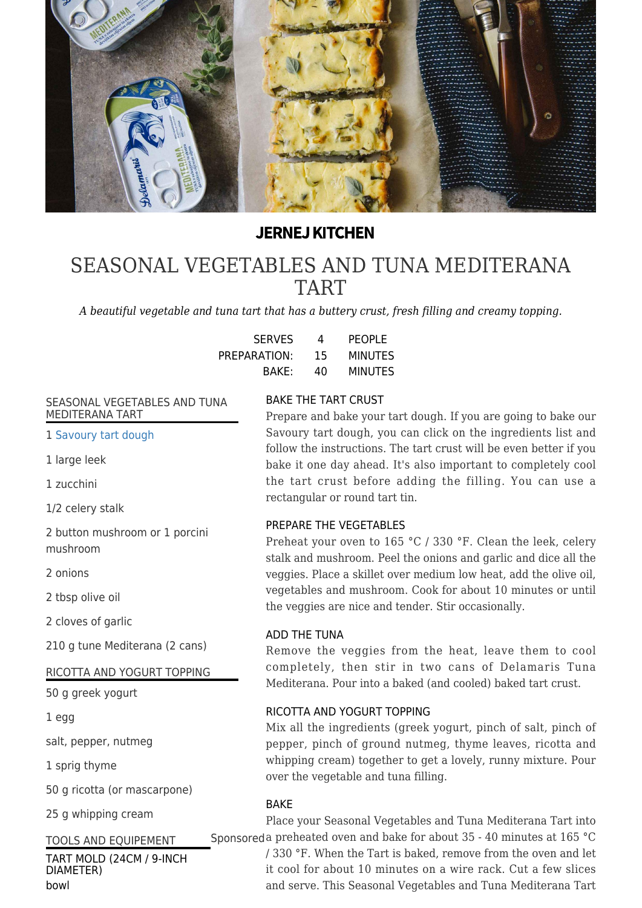

# **JERNEJ KITCHEN**

# [SEASONAL VEGETABLES AND TUNA MEDITERANA](https://jernejkitchen.com/recipes/fish/seasonal-vegetables-and-tuna-mediterana-tart) [TART](https://jernejkitchen.com/recipes/fish/seasonal-vegetables-and-tuna-mediterana-tart)

*A beautiful vegetable and tuna tart that has a buttery crust, fresh filling and creamy topping.*

| <b>SERVES</b> | 4  | PEOPLE         |
|---------------|----|----------------|
| PREPARATION:  | 15 | <b>MINUTES</b> |
| BAKE:         | 40 | <b>MINUTES</b> |

#### SEASONAL VEGETABLES AND TUNA MEDITERANA TART

1 [Savoury tart dough](https://jernejkitchen.com/recipes/bread-and-doughs/savoury-tart-dough)

1 large leek

1 zucchini

1/2 celery stalk

2 button mushroom or 1 porcini mushroom

2 onions

2 tbsp olive oil

2 cloves of garlic

210 g tune Mediterana (2 cans)

#### RICOTTA AND YOGURT TOPPING

50 g greek yogurt

1 egg

salt, pepper, nutmeg

1 sprig thyme

50 g ricotta (or mascarpone)

25 g whipping cream

## TOOLS AND EQUIPEMENT

TART MOLD (24CM / 9-INCH DIAMETER) bowl

## BAKE THE TART CRUST

Prepare and bake your tart dough. If you are going to bake our Savoury tart dough, you can click on the ingredients list and follow the instructions. The tart crust will be even better if you bake it one day ahead. It's also important to completely cool the tart crust before adding the filling. You can use a rectangular or round tart tin.

#### PREPARE THE VEGETABLES

Preheat your oven to 165 °C / 330 °F. Clean the leek, celery stalk and mushroom. Peel the onions and garlic and dice all the veggies. Place a skillet over medium low heat, add the olive oil, vegetables and mushroom. Cook for about 10 minutes or until the veggies are nice and tender. Stir occasionally.

## ADD THE TUNA

Remove the veggies from the heat, leave them to cool completely, then stir in two cans of Delamaris Tuna Mediterana. Pour into a baked (and cooled) baked tart crust.

#### RICOTTA AND YOGURT TOPPING

Mix all the ingredients (greek yogurt, pinch of salt, pinch of pepper, pinch of ground nutmeg, thyme leaves, ricotta and whipping cream) together to get a lovely, runny mixture. Pour over the vegetable and tuna filling.

#### BAKE

Place your Seasonal Vegetables and Tuna Mediterana Tart into Sponsoreda preheated oven and bake for about 35 - 40 minutes at 165 °C

/ 330 °F. When the Tart is baked, remove from the oven and let it cool for about 10 minutes on a wire rack. Cut a few slices and serve. This Seasonal Vegetables and Tuna Mediterana Tart